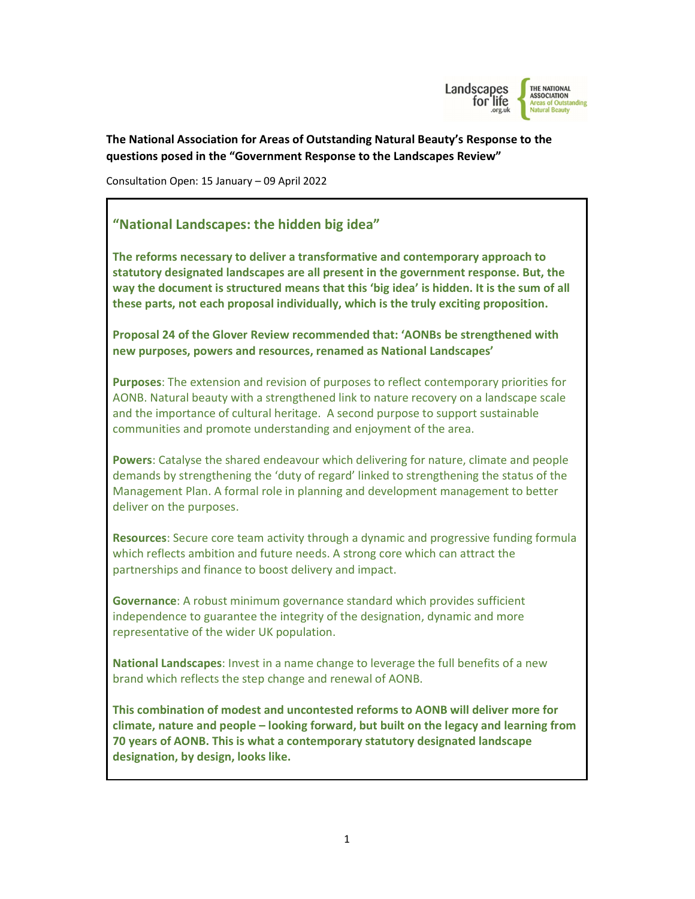

The National Association for Areas of Outstanding Natural Beauty's Response to the questions posed in the "Government Response to the Landscapes Review"

Consultation Open: 15 January – 09 April 2022

# "National Landscapes: the hidden big idea"

The reforms necessary to deliver a transformative and contemporary approach to statutory designated landscapes are all present in the government response. But, the way the document is structured means that this 'big idea' is hidden. It is the sum of all these parts, not each proposal individually, which is the truly exciting proposition.

Proposal 24 of the Glover Review recommended that: 'AONBs be strengthened with new purposes, powers and resources, renamed as National Landscapes'

Purposes: The extension and revision of purposes to reflect contemporary priorities for AONB. Natural beauty with a strengthened link to nature recovery on a landscape scale and the importance of cultural heritage. A second purpose to support sustainable communities and promote understanding and enjoyment of the area.

Powers: Catalyse the shared endeavour which delivering for nature, climate and people demands by strengthening the 'duty of regard' linked to strengthening the status of the Management Plan. A formal role in planning and development management to better deliver on the purposes.

Resources: Secure core team activity through a dynamic and progressive funding formula which reflects ambition and future needs. A strong core which can attract the partnerships and finance to boost delivery and impact.

Governance: A robust minimum governance standard which provides sufficient independence to guarantee the integrity of the designation, dynamic and more representative of the wider UK population.

National Landscapes: Invest in a name change to leverage the full benefits of a new brand which reflects the step change and renewal of AONB.

This combination of modest and uncontested reforms to AONB will deliver more for climate, nature and people – looking forward, but built on the legacy and learning from 70 years of AONB. This is what a contemporary statutory designated landscape designation, by design, looks like.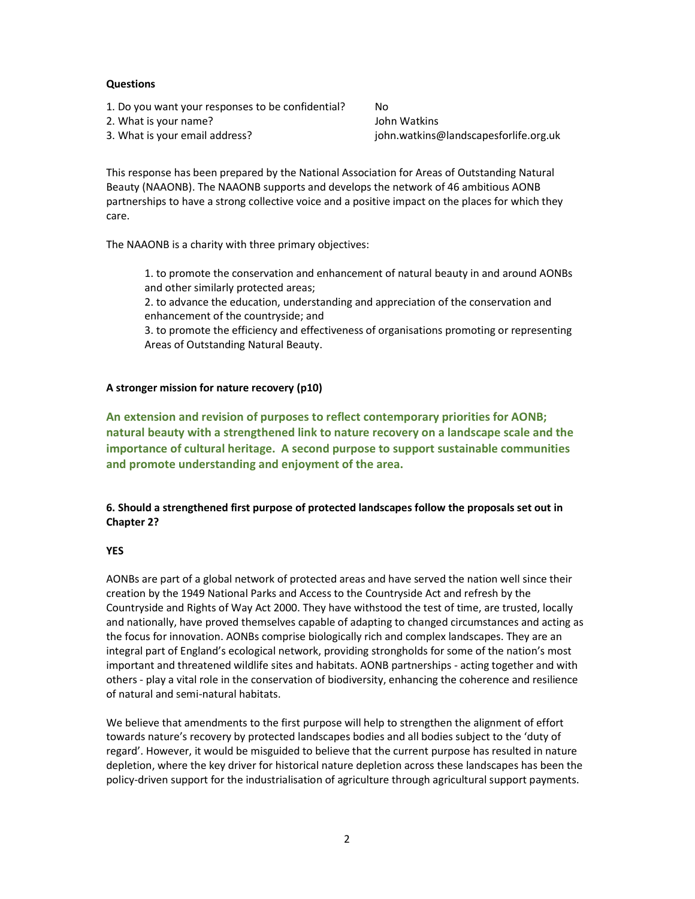## **Questions**

1. Do you want your responses to be confidential? No

# 2. What is your name? John Watkins

3. What is your email address? john.watkins@landscapesforlife.org.uk

This response has been prepared by the National Association for Areas of Outstanding Natural Beauty (NAAONB). The NAAONB supports and develops the network of 46 ambitious AONB partnerships to have a strong collective voice and a positive impact on the places for which they care.

The NAAONB is a charity with three primary objectives:

1. to promote the conservation and enhancement of natural beauty in and around AONBs and other similarly protected areas;

2. to advance the education, understanding and appreciation of the conservation and enhancement of the countryside; and

3. to promote the efficiency and effectiveness of organisations promoting or representing Areas of Outstanding Natural Beauty.

# A stronger mission for nature recovery (p10)

An extension and revision of purposes to reflect contemporary priorities for AONB; natural beauty with a strengthened link to nature recovery on a landscape scale and the importance of cultural heritage. A second purpose to support sustainable communities and promote understanding and enjoyment of the area.

# 6. Should a strengthened first purpose of protected landscapes follow the proposals set out in Chapter 2?

# YES

AONBs are part of a global network of protected areas and have served the nation well since their creation by the 1949 National Parks and Access to the Countryside Act and refresh by the Countryside and Rights of Way Act 2000. They have withstood the test of time, are trusted, locally and nationally, have proved themselves capable of adapting to changed circumstances and acting as the focus for innovation. AONBs comprise biologically rich and complex landscapes. They are an integral part of England's ecological network, providing strongholds for some of the nation's most important and threatened wildlife sites and habitats. AONB partnerships - acting together and with others - play a vital role in the conservation of biodiversity, enhancing the coherence and resilience of natural and semi-natural habitats.

We believe that amendments to the first purpose will help to strengthen the alignment of effort towards nature's recovery by protected landscapes bodies and all bodies subject to the 'duty of regard'. However, it would be misguided to believe that the current purpose has resulted in nature depletion, where the key driver for historical nature depletion across these landscapes has been the policy-driven support for the industrialisation of agriculture through agricultural support payments.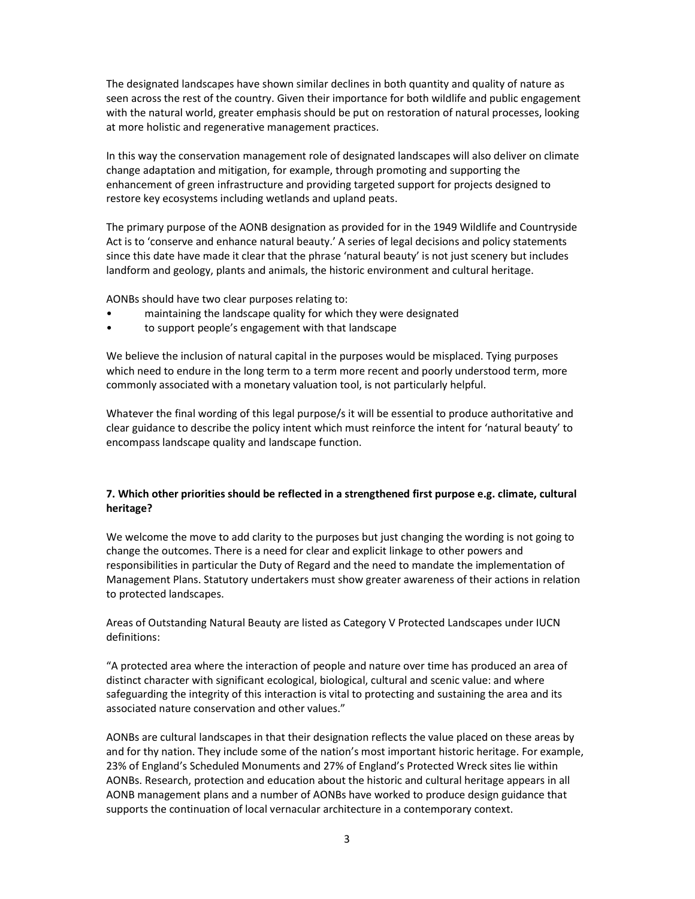The designated landscapes have shown similar declines in both quantity and quality of nature as seen across the rest of the country. Given their importance for both wildlife and public engagement with the natural world, greater emphasis should be put on restoration of natural processes, looking at more holistic and regenerative management practices.

In this way the conservation management role of designated landscapes will also deliver on climate change adaptation and mitigation, for example, through promoting and supporting the enhancement of green infrastructure and providing targeted support for projects designed to restore key ecosystems including wetlands and upland peats.

The primary purpose of the AONB designation as provided for in the 1949 Wildlife and Countryside Act is to 'conserve and enhance natural beauty.' A series of legal decisions and policy statements since this date have made it clear that the phrase 'natural beauty' is not just scenery but includes landform and geology, plants and animals, the historic environment and cultural heritage.

AONBs should have two clear purposes relating to:

- maintaining the landscape quality for which they were designated
- to support people's engagement with that landscape

We believe the inclusion of natural capital in the purposes would be misplaced. Tying purposes which need to endure in the long term to a term more recent and poorly understood term, more commonly associated with a monetary valuation tool, is not particularly helpful.

Whatever the final wording of this legal purpose/s it will be essential to produce authoritative and clear guidance to describe the policy intent which must reinforce the intent for 'natural beauty' to encompass landscape quality and landscape function.

## 7. Which other priorities should be reflected in a strengthened first purpose e.g. climate, cultural heritage?

We welcome the move to add clarity to the purposes but just changing the wording is not going to change the outcomes. There is a need for clear and explicit linkage to other powers and responsibilities in particular the Duty of Regard and the need to mandate the implementation of Management Plans. Statutory undertakers must show greater awareness of their actions in relation to protected landscapes.

Areas of Outstanding Natural Beauty are listed as Category V Protected Landscapes under IUCN definitions:

"A protected area where the interaction of people and nature over time has produced an area of distinct character with significant ecological, biological, cultural and scenic value: and where safeguarding the integrity of this interaction is vital to protecting and sustaining the area and its associated nature conservation and other values."

AONBs are cultural landscapes in that their designation reflects the value placed on these areas by and for thy nation. They include some of the nation's most important historic heritage. For example, 23% of England's Scheduled Monuments and 27% of England's Protected Wreck sites lie within AONBs. Research, protection and education about the historic and cultural heritage appears in all AONB management plans and a number of AONBs have worked to produce design guidance that supports the continuation of local vernacular architecture in a contemporary context.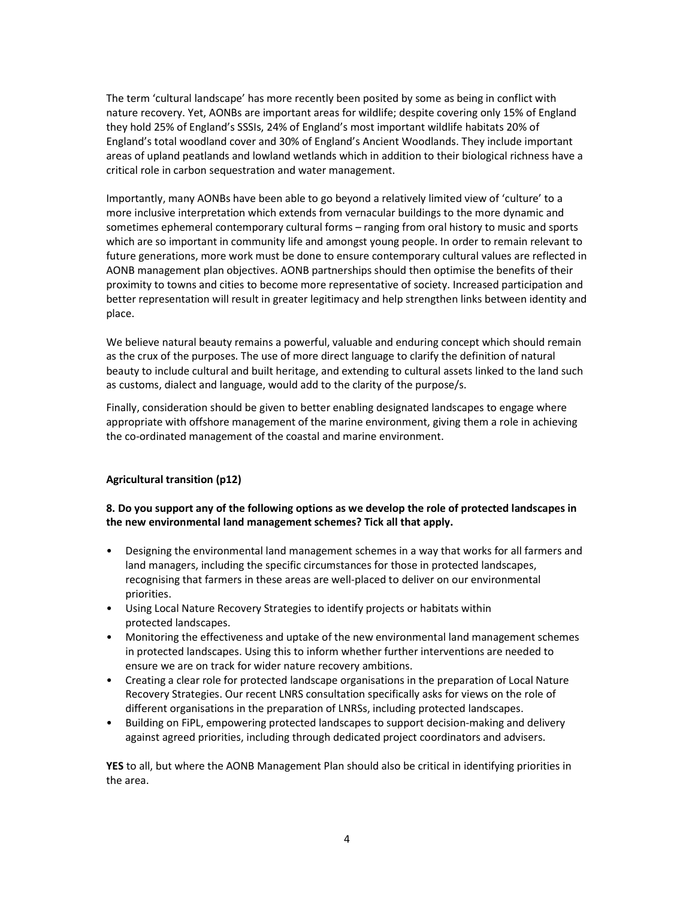The term 'cultural landscape' has more recently been posited by some as being in conflict with nature recovery. Yet, AONBs are important areas for wildlife; despite covering only 15% of England they hold 25% of England's SSSIs, 24% of England's most important wildlife habitats 20% of England's total woodland cover and 30% of England's Ancient Woodlands. They include important areas of upland peatlands and lowland wetlands which in addition to their biological richness have a critical role in carbon sequestration and water management.

Importantly, many AONBs have been able to go beyond a relatively limited view of 'culture' to a more inclusive interpretation which extends from vernacular buildings to the more dynamic and sometimes ephemeral contemporary cultural forms – ranging from oral history to music and sports which are so important in community life and amongst young people. In order to remain relevant to future generations, more work must be done to ensure contemporary cultural values are reflected in AONB management plan objectives. AONB partnerships should then optimise the benefits of their proximity to towns and cities to become more representative of society. Increased participation and better representation will result in greater legitimacy and help strengthen links between identity and place.

We believe natural beauty remains a powerful, valuable and enduring concept which should remain as the crux of the purposes. The use of more direct language to clarify the definition of natural beauty to include cultural and built heritage, and extending to cultural assets linked to the land such as customs, dialect and language, would add to the clarity of the purpose/s.

Finally, consideration should be given to better enabling designated landscapes to engage where appropriate with offshore management of the marine environment, giving them a role in achieving the co-ordinated management of the coastal and marine environment.

## Agricultural transition (p12)

## 8. Do you support any of the following options as we develop the role of protected landscapes in the new environmental land management schemes? Tick all that apply.

- Designing the environmental land management schemes in a way that works for all farmers and land managers, including the specific circumstances for those in protected landscapes, recognising that farmers in these areas are well-placed to deliver on our environmental priorities.
- Using Local Nature Recovery Strategies to identify projects or habitats within protected landscapes.
- Monitoring the effectiveness and uptake of the new environmental land management schemes in protected landscapes. Using this to inform whether further interventions are needed to ensure we are on track for wider nature recovery ambitions.
- Creating a clear role for protected landscape organisations in the preparation of Local Nature Recovery Strategies. Our recent LNRS consultation specifically asks for views on the role of different organisations in the preparation of LNRSs, including protected landscapes.
- Building on FiPL, empowering protected landscapes to support decision-making and delivery against agreed priorities, including through dedicated project coordinators and advisers.

YES to all, but where the AONB Management Plan should also be critical in identifying priorities in the area.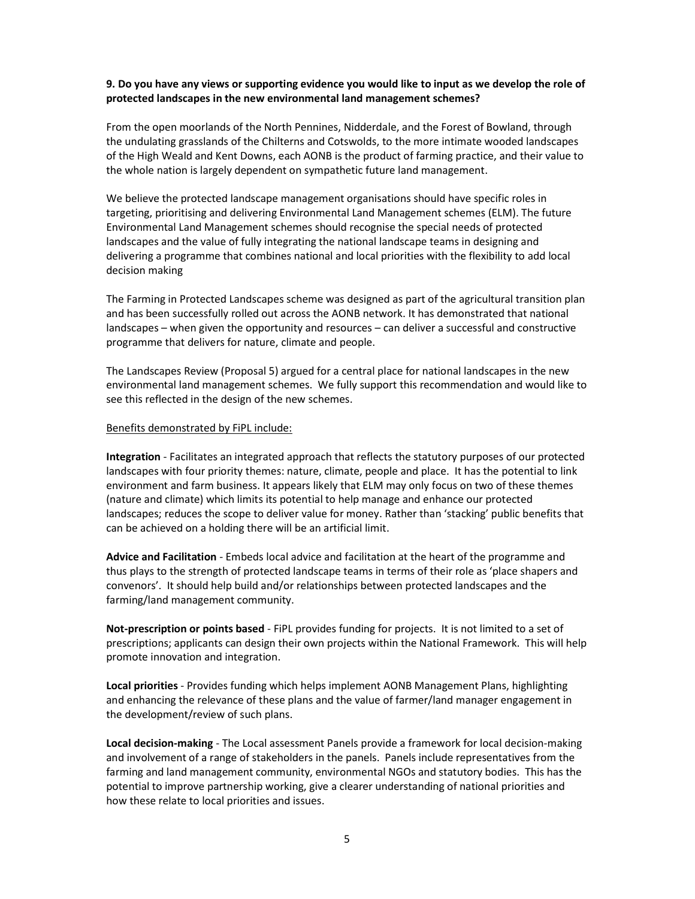## 9. Do you have any views or supporting evidence you would like to input as we develop the role of protected landscapes in the new environmental land management schemes?

From the open moorlands of the North Pennines, Nidderdale, and the Forest of Bowland, through the undulating grasslands of the Chilterns and Cotswolds, to the more intimate wooded landscapes of the High Weald and Kent Downs, each AONB is the product of farming practice, and their value to the whole nation is largely dependent on sympathetic future land management.

We believe the protected landscape management organisations should have specific roles in targeting, prioritising and delivering Environmental Land Management schemes (ELM). The future Environmental Land Management schemes should recognise the special needs of protected landscapes and the value of fully integrating the national landscape teams in designing and delivering a programme that combines national and local priorities with the flexibility to add local decision making

The Farming in Protected Landscapes scheme was designed as part of the agricultural transition plan and has been successfully rolled out across the AONB network. It has demonstrated that national landscapes – when given the opportunity and resources – can deliver a successful and constructive programme that delivers for nature, climate and people.

The Landscapes Review (Proposal 5) argued for a central place for national landscapes in the new environmental land management schemes. We fully support this recommendation and would like to see this reflected in the design of the new schemes.

#### Benefits demonstrated by FiPL include:

Integration - Facilitates an integrated approach that reflects the statutory purposes of our protected landscapes with four priority themes: nature, climate, people and place. It has the potential to link environment and farm business. It appears likely that ELM may only focus on two of these themes (nature and climate) which limits its potential to help manage and enhance our protected landscapes; reduces the scope to deliver value for money. Rather than 'stacking' public benefits that can be achieved on a holding there will be an artificial limit.

Advice and Facilitation - Embeds local advice and facilitation at the heart of the programme and thus plays to the strength of protected landscape teams in terms of their role as 'place shapers and convenors'. It should help build and/or relationships between protected landscapes and the farming/land management community.

Not-prescription or points based - FIPL provides funding for projects. It is not limited to a set of prescriptions; applicants can design their own projects within the National Framework. This will help promote innovation and integration.

Local priorities - Provides funding which helps implement AONB Management Plans, highlighting and enhancing the relevance of these plans and the value of farmer/land manager engagement in the development/review of such plans.

Local decision-making - The Local assessment Panels provide a framework for local decision-making and involvement of a range of stakeholders in the panels. Panels include representatives from the farming and land management community, environmental NGOs and statutory bodies. This has the potential to improve partnership working, give a clearer understanding of national priorities and how these relate to local priorities and issues.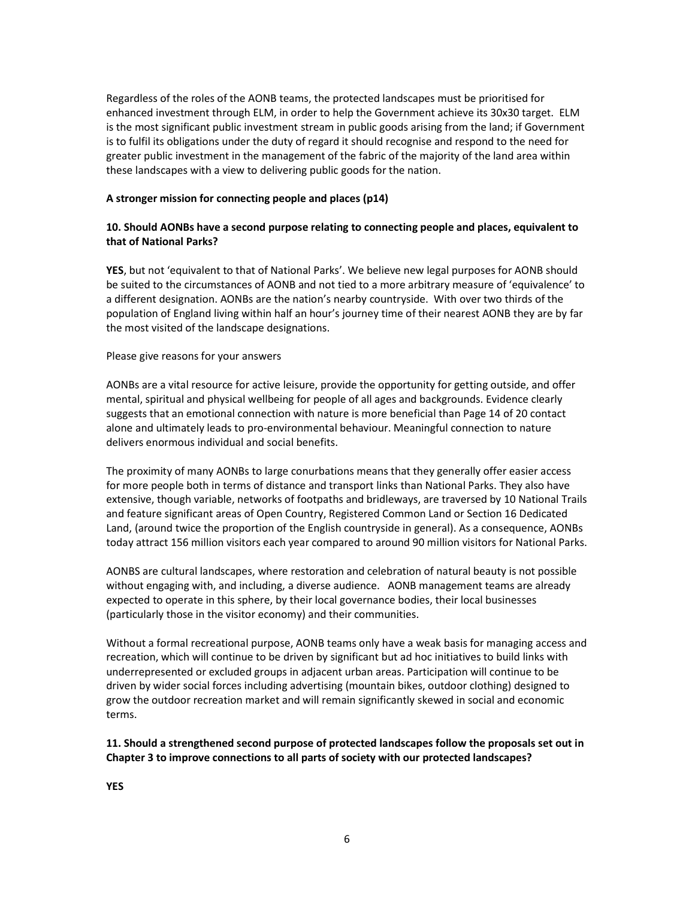Regardless of the roles of the AONB teams, the protected landscapes must be prioritised for enhanced investment through ELM, in order to help the Government achieve its 30x30 target. ELM is the most significant public investment stream in public goods arising from the land; if Government is to fulfil its obligations under the duty of regard it should recognise and respond to the need for greater public investment in the management of the fabric of the majority of the land area within these landscapes with a view to delivering public goods for the nation.

#### A stronger mission for connecting people and places (p14)

## 10. Should AONBs have a second purpose relating to connecting people and places, equivalent to that of National Parks?

YES, but not 'equivalent to that of National Parks'. We believe new legal purposes for AONB should be suited to the circumstances of AONB and not tied to a more arbitrary measure of 'equivalence' to a different designation. AONBs are the nation's nearby countryside. With over two thirds of the population of England living within half an hour's journey time of their nearest AONB they are by far the most visited of the landscape designations.

#### Please give reasons for your answers

AONBs are a vital resource for active leisure, provide the opportunity for getting outside, and offer mental, spiritual and physical wellbeing for people of all ages and backgrounds. Evidence clearly suggests that an emotional connection with nature is more beneficial than Page 14 of 20 contact alone and ultimately leads to pro-environmental behaviour. Meaningful connection to nature delivers enormous individual and social benefits.

The proximity of many AONBs to large conurbations means that they generally offer easier access for more people both in terms of distance and transport links than National Parks. They also have extensive, though variable, networks of footpaths and bridleways, are traversed by 10 National Trails and feature significant areas of Open Country, Registered Common Land or Section 16 Dedicated Land, (around twice the proportion of the English countryside in general). As a consequence, AONBs today attract 156 million visitors each year compared to around 90 million visitors for National Parks.

AONBS are cultural landscapes, where restoration and celebration of natural beauty is not possible without engaging with, and including, a diverse audience. AONB management teams are already expected to operate in this sphere, by their local governance bodies, their local businesses (particularly those in the visitor economy) and their communities.

Without a formal recreational purpose, AONB teams only have a weak basis for managing access and recreation, which will continue to be driven by significant but ad hoc initiatives to build links with underrepresented or excluded groups in adjacent urban areas. Participation will continue to be driven by wider social forces including advertising (mountain bikes, outdoor clothing) designed to grow the outdoor recreation market and will remain significantly skewed in social and economic terms.

11. Should a strengthened second purpose of protected landscapes follow the proposals set out in Chapter 3 to improve connections to all parts of society with our protected landscapes?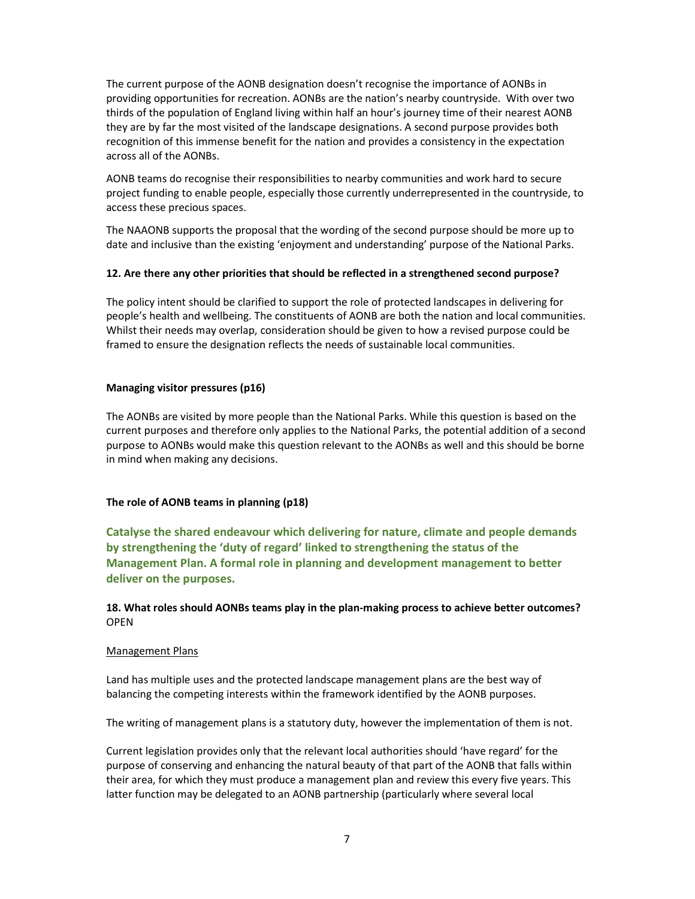The current purpose of the AONB designation doesn't recognise the importance of AONBs in providing opportunities for recreation. AONBs are the nation's nearby countryside. With over two thirds of the population of England living within half an hour's journey time of their nearest AONB they are by far the most visited of the landscape designations. A second purpose provides both recognition of this immense benefit for the nation and provides a consistency in the expectation across all of the AONBs.

AONB teams do recognise their responsibilities to nearby communities and work hard to secure project funding to enable people, especially those currently underrepresented in the countryside, to access these precious spaces.

The NAAONB supports the proposal that the wording of the second purpose should be more up to date and inclusive than the existing 'enjoyment and understanding' purpose of the National Parks.

#### 12. Are there any other priorities that should be reflected in a strengthened second purpose?

The policy intent should be clarified to support the role of protected landscapes in delivering for people's health and wellbeing. The constituents of AONB are both the nation and local communities. Whilst their needs may overlap, consideration should be given to how a revised purpose could be framed to ensure the designation reflects the needs of sustainable local communities.

#### Managing visitor pressures (p16)

The AONBs are visited by more people than the National Parks. While this question is based on the current purposes and therefore only applies to the National Parks, the potential addition of a second purpose to AONBs would make this question relevant to the AONBs as well and this should be borne in mind when making any decisions.

## The role of AONB teams in planning (p18)

Catalyse the shared endeavour which delivering for nature, climate and people demands by strengthening the 'duty of regard' linked to strengthening the status of the Management Plan. A formal role in planning and development management to better deliver on the purposes.

## 18. What roles should AONBs teams play in the plan-making process to achieve better outcomes? OPEN

#### Management Plans

Land has multiple uses and the protected landscape management plans are the best way of balancing the competing interests within the framework identified by the AONB purposes.

The writing of management plans is a statutory duty, however the implementation of them is not.

Current legislation provides only that the relevant local authorities should 'have regard' for the purpose of conserving and enhancing the natural beauty of that part of the AONB that falls within their area, for which they must produce a management plan and review this every five years. This latter function may be delegated to an AONB partnership (particularly where several local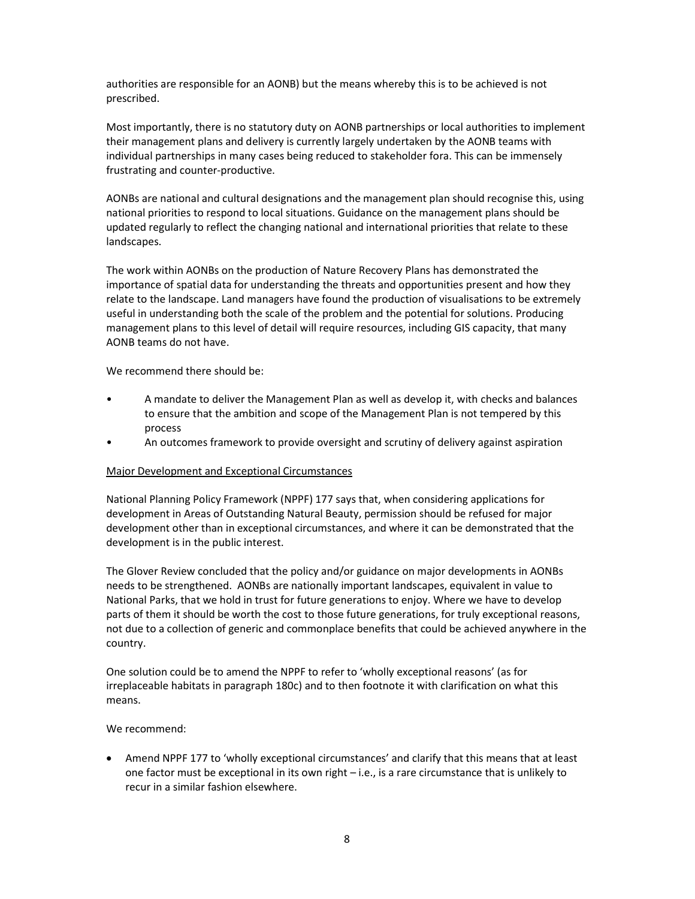authorities are responsible for an AONB) but the means whereby this is to be achieved is not prescribed.

Most importantly, there is no statutory duty on AONB partnerships or local authorities to implement their management plans and delivery is currently largely undertaken by the AONB teams with individual partnerships in many cases being reduced to stakeholder fora. This can be immensely frustrating and counter-productive.

AONBs are national and cultural designations and the management plan should recognise this, using national priorities to respond to local situations. Guidance on the management plans should be updated regularly to reflect the changing national and international priorities that relate to these landscapes.

The work within AONBs on the production of Nature Recovery Plans has demonstrated the importance of spatial data for understanding the threats and opportunities present and how they relate to the landscape. Land managers have found the production of visualisations to be extremely useful in understanding both the scale of the problem and the potential for solutions. Producing management plans to this level of detail will require resources, including GIS capacity, that many AONB teams do not have.

We recommend there should be:

- A mandate to deliver the Management Plan as well as develop it, with checks and balances to ensure that the ambition and scope of the Management Plan is not tempered by this process
- An outcomes framework to provide oversight and scrutiny of delivery against aspiration

## Major Development and Exceptional Circumstances

National Planning Policy Framework (NPPF) 177 says that, when considering applications for development in Areas of Outstanding Natural Beauty, permission should be refused for major development other than in exceptional circumstances, and where it can be demonstrated that the development is in the public interest.

The Glover Review concluded that the policy and/or guidance on major developments in AONBs needs to be strengthened. AONBs are nationally important landscapes, equivalent in value to National Parks, that we hold in trust for future generations to enjoy. Where we have to develop parts of them it should be worth the cost to those future generations, for truly exceptional reasons, not due to a collection of generic and commonplace benefits that could be achieved anywhere in the country.

One solution could be to amend the NPPF to refer to 'wholly exceptional reasons' (as for irreplaceable habitats in paragraph 180c) and to then footnote it with clarification on what this means.

#### We recommend:

 Amend NPPF 177 to 'wholly exceptional circumstances' and clarify that this means that at least one factor must be exceptional in its own right – i.e., is a rare circumstance that is unlikely to recur in a similar fashion elsewhere.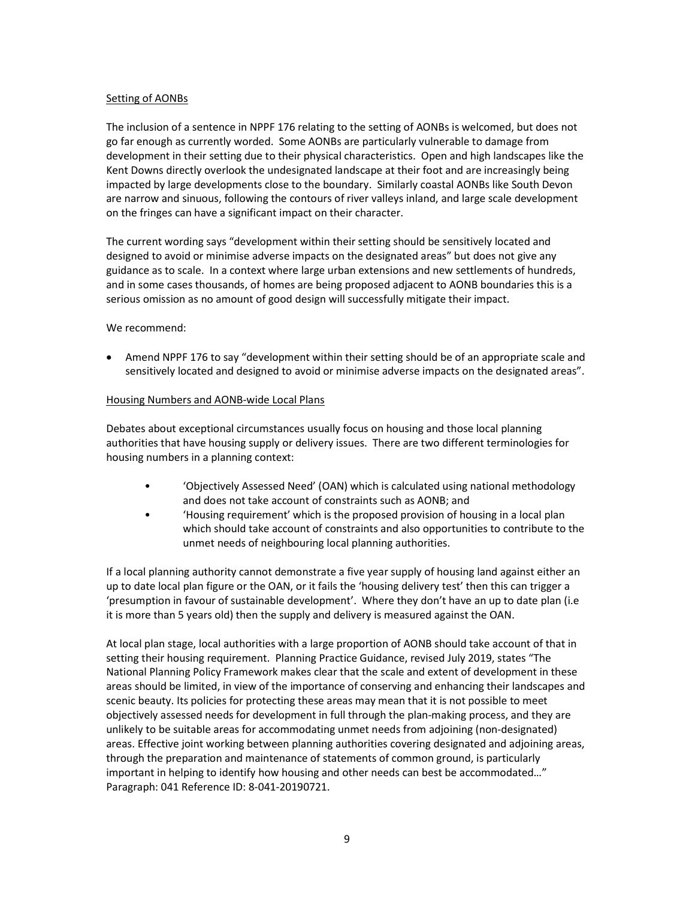## Setting of AONBs

The inclusion of a sentence in NPPF 176 relating to the setting of AONBs is welcomed, but does not go far enough as currently worded. Some AONBs are particularly vulnerable to damage from development in their setting due to their physical characteristics. Open and high landscapes like the Kent Downs directly overlook the undesignated landscape at their foot and are increasingly being impacted by large developments close to the boundary. Similarly coastal AONBs like South Devon are narrow and sinuous, following the contours of river valleys inland, and large scale development on the fringes can have a significant impact on their character.

The current wording says "development within their setting should be sensitively located and designed to avoid or minimise adverse impacts on the designated areas" but does not give any guidance as to scale. In a context where large urban extensions and new settlements of hundreds, and in some cases thousands, of homes are being proposed adjacent to AONB boundaries this is a serious omission as no amount of good design will successfully mitigate their impact.

We recommend:

• Amend NPPF 176 to say "development within their setting should be of an appropriate scale and sensitively located and designed to avoid or minimise adverse impacts on the designated areas".

# Housing Numbers and AONB-wide Local Plans

Debates about exceptional circumstances usually focus on housing and those local planning authorities that have housing supply or delivery issues. There are two different terminologies for housing numbers in a planning context:

- 'Objectively Assessed Need' (OAN) which is calculated using national methodology and does not take account of constraints such as AONB; and
- 'Housing requirement' which is the proposed provision of housing in a local plan which should take account of constraints and also opportunities to contribute to the unmet needs of neighbouring local planning authorities.

If a local planning authority cannot demonstrate a five year supply of housing land against either an up to date local plan figure or the OAN, or it fails the 'housing delivery test' then this can trigger a 'presumption in favour of sustainable development'. Where they don't have an up to date plan (i.e it is more than 5 years old) then the supply and delivery is measured against the OAN.

At local plan stage, local authorities with a large proportion of AONB should take account of that in setting their housing requirement. Planning Practice Guidance, revised July 2019, states "The National Planning Policy Framework makes clear that the scale and extent of development in these areas should be limited, in view of the importance of conserving and enhancing their landscapes and scenic beauty. Its policies for protecting these areas may mean that it is not possible to meet objectively assessed needs for development in full through the plan-making process, and they are unlikely to be suitable areas for accommodating unmet needs from adjoining (non-designated) areas. Effective joint working between planning authorities covering designated and adjoining areas, through the preparation and maintenance of statements of common ground, is particularly important in helping to identify how housing and other needs can best be accommodated…" Paragraph: 041 Reference ID: 8-041-20190721.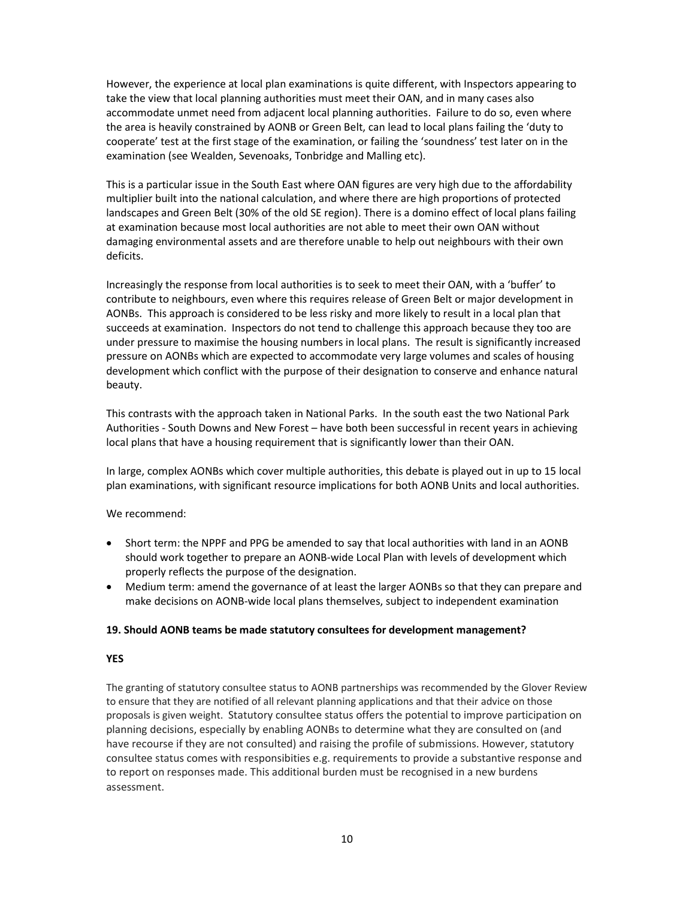However, the experience at local plan examinations is quite different, with Inspectors appearing to take the view that local planning authorities must meet their OAN, and in many cases also accommodate unmet need from adjacent local planning authorities. Failure to do so, even where the area is heavily constrained by AONB or Green Belt, can lead to local plans failing the 'duty to cooperate' test at the first stage of the examination, or failing the 'soundness' test later on in the examination (see Wealden, Sevenoaks, Tonbridge and Malling etc).

This is a particular issue in the South East where OAN figures are very high due to the affordability multiplier built into the national calculation, and where there are high proportions of protected landscapes and Green Belt (30% of the old SE region). There is a domino effect of local plans failing at examination because most local authorities are not able to meet their own OAN without damaging environmental assets and are therefore unable to help out neighbours with their own deficits.

Increasingly the response from local authorities is to seek to meet their OAN, with a 'buffer' to contribute to neighbours, even where this requires release of Green Belt or major development in AONBs. This approach is considered to be less risky and more likely to result in a local plan that succeeds at examination. Inspectors do not tend to challenge this approach because they too are under pressure to maximise the housing numbers in local plans. The result is significantly increased pressure on AONBs which are expected to accommodate very large volumes and scales of housing development which conflict with the purpose of their designation to conserve and enhance natural beauty.

This contrasts with the approach taken in National Parks. In the south east the two National Park Authorities - South Downs and New Forest – have both been successful in recent years in achieving local plans that have a housing requirement that is significantly lower than their OAN.

In large, complex AONBs which cover multiple authorities, this debate is played out in up to 15 local plan examinations, with significant resource implications for both AONB Units and local authorities.

We recommend:

- Short term: the NPPF and PPG be amended to say that local authorities with land in an AONB should work together to prepare an AONB-wide Local Plan with levels of development which properly reflects the purpose of the designation.
- Medium term: amend the governance of at least the larger AONBs so that they can prepare and make decisions on AONB-wide local plans themselves, subject to independent examination

## 19. Should AONB teams be made statutory consultees for development management?

## YES

The granting of statutory consultee status to AONB partnerships was recommended by the Glover Review to ensure that they are notified of all relevant planning applications and that their advice on those proposals is given weight. Statutory consultee status offers the potential to improve participation on planning decisions, especially by enabling AONBs to determine what they are consulted on (and have recourse if they are not consulted) and raising the profile of submissions. However, statutory consultee status comes with responsibities e.g. requirements to provide a substantive response and to report on responses made. This additional burden must be recognised in a new burdens assessment.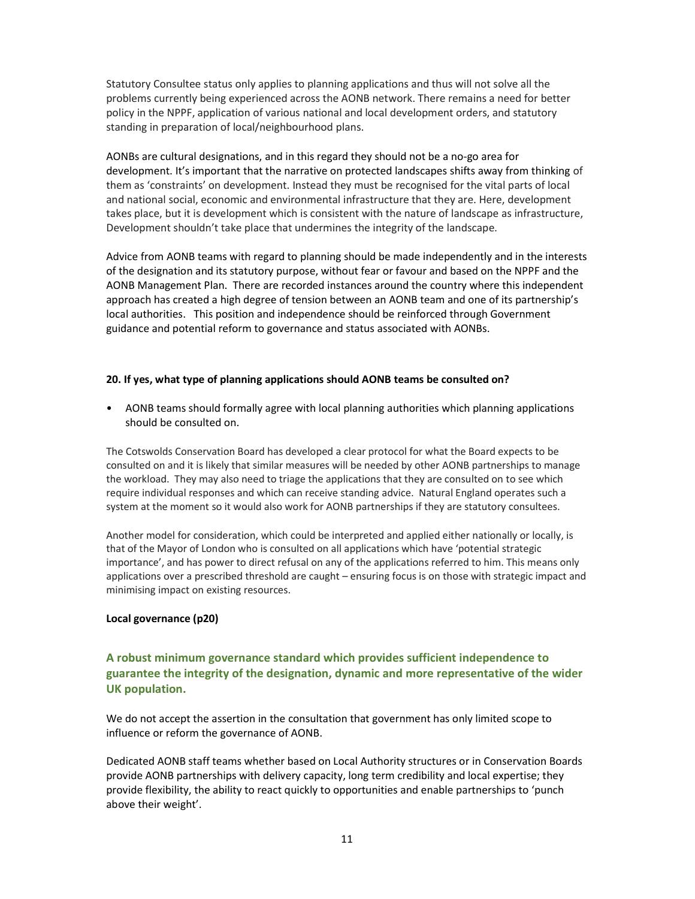Statutory Consultee status only applies to planning applications and thus will not solve all the problems currently being experienced across the AONB network. There remains a need for better policy in the NPPF, application of various national and local development orders, and statutory standing in preparation of local/neighbourhood plans.

AONBs are cultural designations, and in this regard they should not be a no-go area for development. It's important that the narrative on protected landscapes shifts away from thinking of them as 'constraints' on development. Instead they must be recognised for the vital parts of local and national social, economic and environmental infrastructure that they are. Here, development takes place, but it is development which is consistent with the nature of landscape as infrastructure, Development shouldn't take place that undermines the integrity of the landscape.

Advice from AONB teams with regard to planning should be made independently and in the interests of the designation and its statutory purpose, without fear or favour and based on the NPPF and the AONB Management Plan. There are recorded instances around the country where this independent approach has created a high degree of tension between an AONB team and one of its partnership's local authorities. This position and independence should be reinforced through Government guidance and potential reform to governance and status associated with AONBs.

#### 20. If yes, what type of planning applications should AONB teams be consulted on?

• AONB teams should formally agree with local planning authorities which planning applications should be consulted on.

The Cotswolds Conservation Board has developed a clear protocol for what the Board expects to be consulted on and it is likely that similar measures will be needed by other AONB partnerships to manage the workload. They may also need to triage the applications that they are consulted on to see which require individual responses and which can receive standing advice. Natural England operates such a system at the moment so it would also work for AONB partnerships if they are statutory consultees.

Another model for consideration, which could be interpreted and applied either nationally or locally, is that of the Mayor of London who is consulted on all applications which have 'potential strategic importance', and has power to direct refusal on any of the applications referred to him. This means only applications over a prescribed threshold are caught – ensuring focus is on those with strategic impact and minimising impact on existing resources.

#### Local governance (p20)

# A robust minimum governance standard which provides sufficient independence to guarantee the integrity of the designation, dynamic and more representative of the wider UK population.

We do not accept the assertion in the consultation that government has only limited scope to influence or reform the governance of AONB.

Dedicated AONB staff teams whether based on Local Authority structures or in Conservation Boards provide AONB partnerships with delivery capacity, long term credibility and local expertise; they provide flexibility, the ability to react quickly to opportunities and enable partnerships to 'punch above their weight'.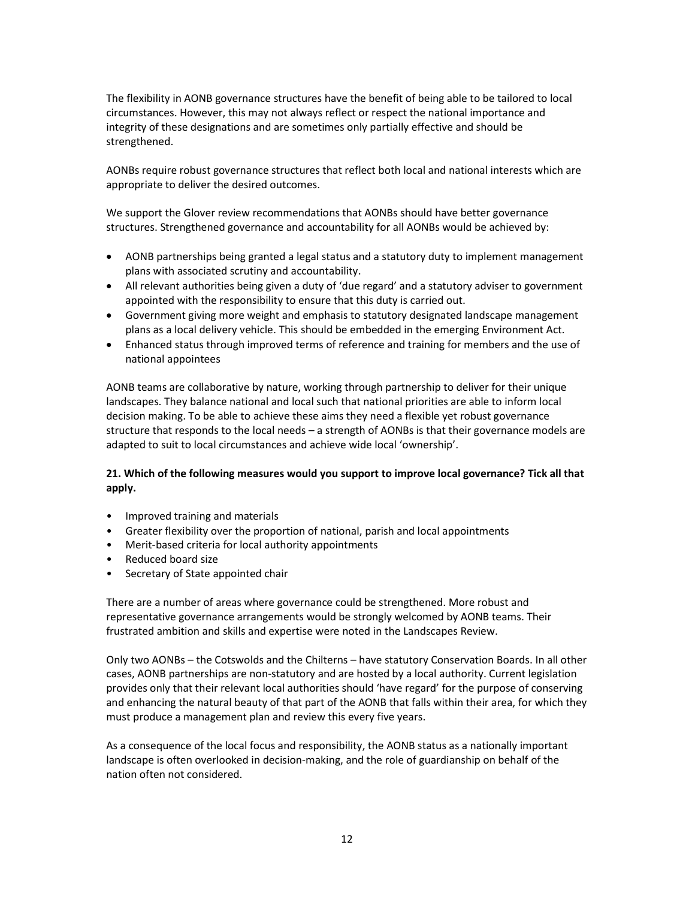The flexibility in AONB governance structures have the benefit of being able to be tailored to local circumstances. However, this may not always reflect or respect the national importance and integrity of these designations and are sometimes only partially effective and should be strengthened.

AONBs require robust governance structures that reflect both local and national interests which are appropriate to deliver the desired outcomes.

We support the Glover review recommendations that AONBs should have better governance structures. Strengthened governance and accountability for all AONBs would be achieved by:

- AONB partnerships being granted a legal status and a statutory duty to implement management plans with associated scrutiny and accountability.
- All relevant authorities being given a duty of 'due regard' and a statutory adviser to government appointed with the responsibility to ensure that this duty is carried out.
- Government giving more weight and emphasis to statutory designated landscape management plans as a local delivery vehicle. This should be embedded in the emerging Environment Act.
- Enhanced status through improved terms of reference and training for members and the use of national appointees

AONB teams are collaborative by nature, working through partnership to deliver for their unique landscapes. They balance national and local such that national priorities are able to inform local decision making. To be able to achieve these aims they need a flexible yet robust governance structure that responds to the local needs – a strength of AONBs is that their governance models are adapted to suit to local circumstances and achieve wide local 'ownership'.

# 21. Which of the following measures would you support to improve local governance? Tick all that apply.

- Improved training and materials
- Greater flexibility over the proportion of national, parish and local appointments
- Merit-based criteria for local authority appointments
- Reduced board size
- Secretary of State appointed chair

There are a number of areas where governance could be strengthened. More robust and representative governance arrangements would be strongly welcomed by AONB teams. Their frustrated ambition and skills and expertise were noted in the Landscapes Review.

Only two AONBs – the Cotswolds and the Chilterns – have statutory Conservation Boards. In all other cases, AONB partnerships are non-statutory and are hosted by a local authority. Current legislation provides only that their relevant local authorities should 'have regard' for the purpose of conserving and enhancing the natural beauty of that part of the AONB that falls within their area, for which they must produce a management plan and review this every five years.

As a consequence of the local focus and responsibility, the AONB status as a nationally important landscape is often overlooked in decision-making, and the role of guardianship on behalf of the nation often not considered.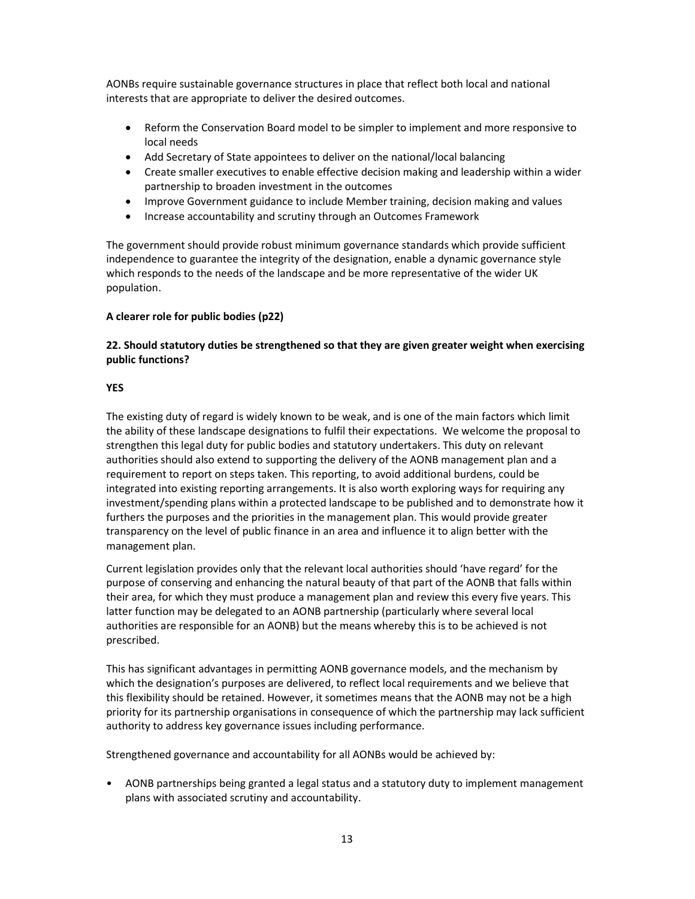AONBs require sustainable governance structures in place that reflect both local and national interests that are appropriate to deliver the desired outcomes.

- Reform the Conservation Board model to be simpler to implement and more responsive to local needs
- Add Secretary of State appointees to deliver on the national/local balancing
- Create smaller executives to enable effective decision making and leadership within a wider partnership to broaden investment in the outcomes
- Improve Government guidance to include Member training, decision making and values
- Increase accountability and scrutiny through an Outcomes Framework

The government should provide robust minimum governance standards which provide sufficient independence to guarantee the integrity of the designation, enable a dynamic governance style which responds to the needs of the landscape and be more representative of the wider UK population.

# A clearer role for public bodies (p22)

# 22. Should statutory duties be strengthened so that they are given greater weight when exercising public functions?

## YES

The existing duty of regard is widely known to be weak, and is one of the main factors which limit the ability of these landscape designations to fulfil their expectations. We welcome the proposal to strengthen this legal duty for public bodies and statutory undertakers. This duty on relevant authorities should also extend to supporting the delivery of the AONB management plan and a requirement to report on steps taken. This reporting, to avoid additional burdens, could be integrated into existing reporting arrangements. It is also worth exploring ways for requiring any investment/spending plans within a protected landscape to be published and to demonstrate how it furthers the purposes and the priorities in the management plan. This would provide greater transparency on the level of public finance in an area and influence it to align better with the management plan.

Current legislation provides only that the relevant local authorities should 'have regard' for the purpose of conserving and enhancing the natural beauty of that part of the AONB that falls within their area, for which they must produce a management plan and review this every five years. This latter function may be delegated to an AONB partnership (particularly where several local authorities are responsible for an AONB) but the means whereby this is to be achieved is not prescribed.

This has significant advantages in permitting AONB governance models, and the mechanism by which the designation's purposes are delivered, to reflect local requirements and we believe that this flexibility should be retained. However, it sometimes means that the AONB may not be a high priority for its partnership organisations in consequence of which the partnership may lack sufficient authority to address key governance issues including performance.

Strengthened governance and accountability for all AONBs would be achieved by:

• AONB partnerships being granted a legal status and a statutory duty to implement management plans with associated scrutiny and accountability.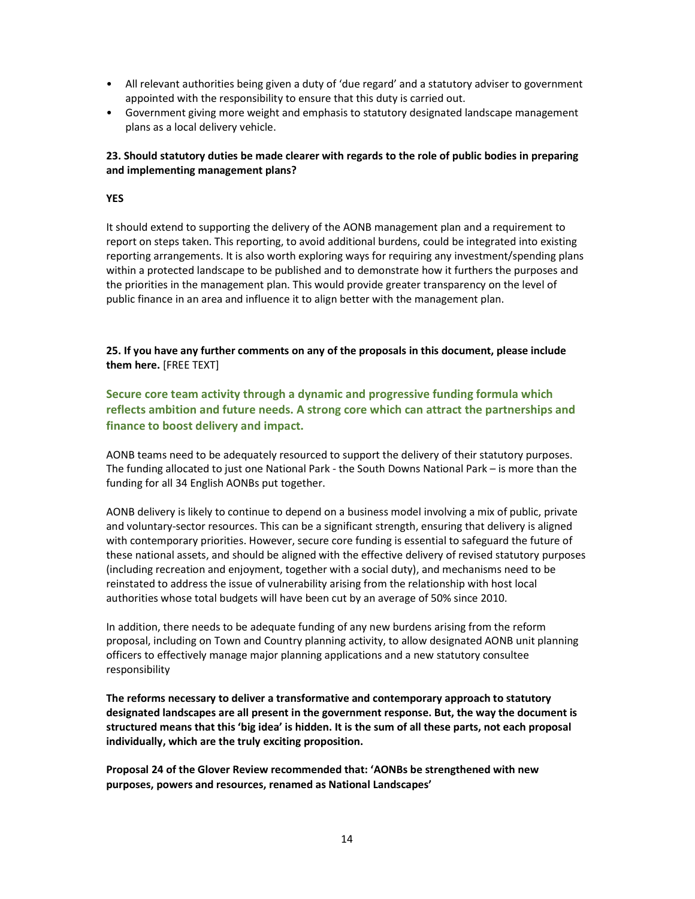- All relevant authorities being given a duty of 'due regard' and a statutory adviser to government appointed with the responsibility to ensure that this duty is carried out.
- Government giving more weight and emphasis to statutory designated landscape management plans as a local delivery vehicle.

# 23. Should statutory duties be made clearer with regards to the role of public bodies in preparing and implementing management plans?

## YES

It should extend to supporting the delivery of the AONB management plan and a requirement to report on steps taken. This reporting, to avoid additional burdens, could be integrated into existing reporting arrangements. It is also worth exploring ways for requiring any investment/spending plans within a protected landscape to be published and to demonstrate how it furthers the purposes and the priorities in the management plan. This would provide greater transparency on the level of public finance in an area and influence it to align better with the management plan.

25. If you have any further comments on any of the proposals in this document, please include them here. [FREE TEXT]

Secure core team activity through a dynamic and progressive funding formula which reflects ambition and future needs. A strong core which can attract the partnerships and finance to boost delivery and impact.

AONB teams need to be adequately resourced to support the delivery of their statutory purposes. The funding allocated to just one National Park - the South Downs National Park – is more than the funding for all 34 English AONBs put together.

AONB delivery is likely to continue to depend on a business model involving a mix of public, private and voluntary-sector resources. This can be a significant strength, ensuring that delivery is aligned with contemporary priorities. However, secure core funding is essential to safeguard the future of these national assets, and should be aligned with the effective delivery of revised statutory purposes (including recreation and enjoyment, together with a social duty), and mechanisms need to be reinstated to address the issue of vulnerability arising from the relationship with host local authorities whose total budgets will have been cut by an average of 50% since 2010.

In addition, there needs to be adequate funding of any new burdens arising from the reform proposal, including on Town and Country planning activity, to allow designated AONB unit planning officers to effectively manage major planning applications and a new statutory consultee responsibility

The reforms necessary to deliver a transformative and contemporary approach to statutory designated landscapes are all present in the government response. But, the way the document is structured means that this 'big idea' is hidden. It is the sum of all these parts, not each proposal individually, which are the truly exciting proposition.

Proposal 24 of the Glover Review recommended that: 'AONBs be strengthened with new purposes, powers and resources, renamed as National Landscapes'